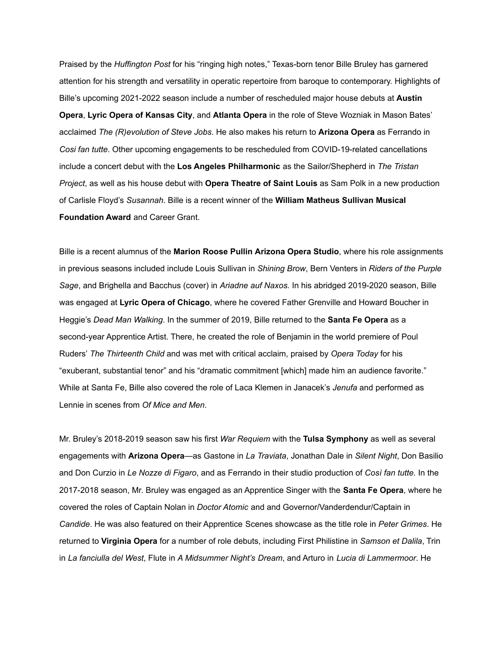Praised by the *Huffington Post* for his "ringing high notes," Texas-born tenor Bille Bruley has garnered attention for his strength and versatility in operatic repertoire from baroque to contemporary. Highlights of Bille's upcoming 2021-2022 season include a number of rescheduled major house debuts at **Austin Opera**, **Lyric Opera of Kansas City**, and **Atlanta Opera** in the role of Steve Wozniak in Mason Bates' acclaimed *The (R)evolution of Steve Jobs*. He also makes his return to **Arizona Opera** as Ferrando in *Cosi fan tutte*. Other upcoming engagements to be rescheduled from COVID-19-related cancellations include a concert debut with the **Los Angeles Philharmonic** as the Sailor/Shepherd in *The Tristan Project*, as well as his house debut with **Opera Theatre of Saint Louis** as Sam Polk in a new production of Carlisle Floyd's *Susannah*. Bille is a recent winner of the **William Matheus Sullivan Musical Foundation Award** and Career Grant.

Bille is a recent alumnus of the **Marion Roose Pullin Arizona Opera Studio**, where his role assignments in previous seasons included include Louis Sullivan in *Shining Brow*, Bern Venters in *Riders of the Purple Sage*, and Brighella and Bacchus (cover) in *Ariadne auf Naxos.* In his abridged 2019-2020 season, Bille was engaged at **Lyric Opera of Chicago**, where he covered Father Grenville and Howard Boucher in Heggie's *Dead Man Walking*. In the summer of 2019, Bille returned to the **Santa Fe Opera** as a second-year Apprentice Artist. There, he created the role of Benjamin in the world premiere of Poul Ruders' *The Thirteenth Child* and was met with critical acclaim, praised by *Opera Today* for his "exuberant, substantial tenor" and his "dramatic commitment [which] made him an audience favorite." While at Santa Fe, Bille also covered the role of Laca Klemen in Janacek's *Jenufa* and performed as Lennie in scenes from *Of Mice and Men*.

Mr. Bruley's 2018-2019 season saw his first *War Requiem* with the **Tulsa Symphony** as well as several engagements with **Arizona Opera**—as Gastone in *La Traviata*, Jonathan Dale in *Silent Night*, Don Basilio and Don Curzio in *Le Nozze di Figaro*, and as Ferrando in their studio production of *Così fan tutte.* In the 2017-2018 season, Mr. Bruley was engaged as an Apprentice Singer with the **Santa Fe Opera**, where he covered the roles of Captain Nolan in *Doctor Atomic* and and Governor/Vanderdendur/Captain in *Candide*. He was also featured on their Apprentice Scenes showcase as the title role in *Peter Grimes*. He returned to **Virginia Opera** for a number of role debuts, including First Philistine in *Samson et Dalila*, Trin in *La fanciulla del West*, Flute in *A Midsummer Night's Dream*, and Arturo in *Lucia di Lammermoor*. He